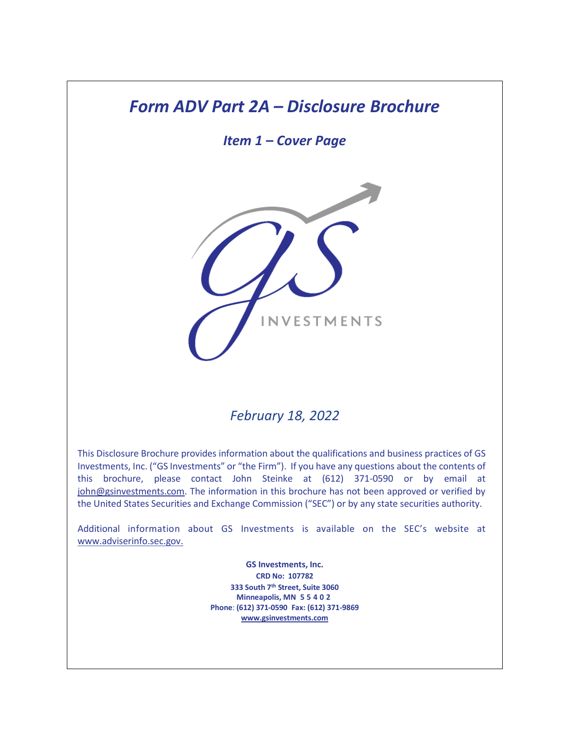# *Form ADV Part 2A – Disclosure Brochure*

*Item 1 – Cover Page*



# *February 18, 2022*

This Disclosure Brochure provides information about the qualifications and business practices of GS Investments, Inc. ("GS Investments" or "the Firm"). If you have any questions about the contents of this brochure, please contact John Steinke at (612) 371-0590 or by email at [john@gsinvestments.com.](mailto:john@gsinvestments.com) The information in this brochure has not been approved or verified by the United States Securities and Exchange Commission ("SEC") or by any state securities authority.

Additional information about GS Investments is available on the SEC's website at [www.adviserinfo.sec.gov.](http://www.adviserinfo.sec.gov./)

> **GS Investments, Inc. CRD No: 107782 333 South 7th Street, Suite 3060 Minneapolis, MN 5 5 4 0 2 Phone**: **(612) 371-0590 Fax: (612) 371-9869 [www.gsinvestments.com](http://www.gsinvestments.com/)**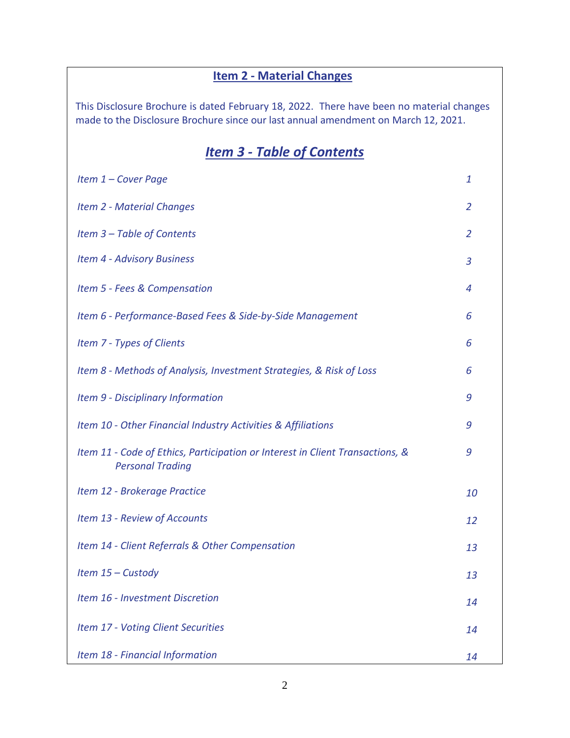# **Item 2 - Material Changes**

This Disclosure Brochure is dated February 18, 2022. There have been no material changes made to the Disclosure Brochure since our last annual amendment on March 12, 2021.

# *Item 3 - Table of Contents*

| Item 1 - Cover Page                                                                                      | 1              |
|----------------------------------------------------------------------------------------------------------|----------------|
| <b>Item 2 - Material Changes</b>                                                                         | $\overline{2}$ |
| Item 3 - Table of Contents                                                                               | 2              |
| <b>Item 4 - Advisory Business</b>                                                                        | 3              |
| Item 5 - Fees & Compensation                                                                             | $\overline{4}$ |
| Item 6 - Performance-Based Fees & Side-by-Side Management                                                | 6              |
| Item 7 - Types of Clients                                                                                | 6              |
| Item 8 - Methods of Analysis, Investment Strategies, & Risk of Loss                                      | 6              |
| Item 9 - Disciplinary Information                                                                        | 9              |
| Item 10 - Other Financial Industry Activities & Affiliations                                             | 9              |
| Item 11 - Code of Ethics, Participation or Interest in Client Transactions, &<br><b>Personal Trading</b> | 9              |
| Item 12 - Brokerage Practice                                                                             | 10             |
| Item 13 - Review of Accounts                                                                             | 12             |
| Item 14 - Client Referrals & Other Compensation                                                          | 13             |
| Item 15 - Custody                                                                                        | 13             |
| Item 16 - Investment Discretion                                                                          | 14             |
| Item 17 - Voting Client Securities                                                                       | 14             |
| Item 18 - Financial Information                                                                          | 14             |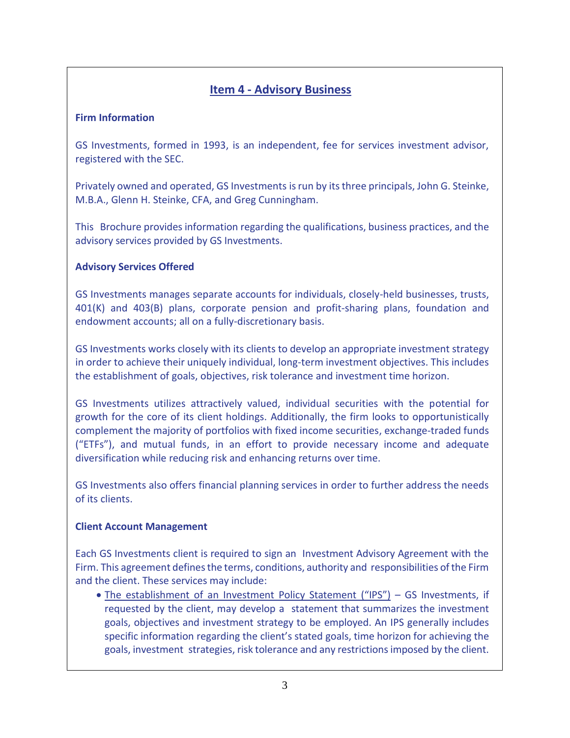# **Item 4 - Advisory Business**

### **Firm Information**

GS Investments, formed in 1993, is an independent, fee for services investment advisor, registered with the SEC.

Privately owned and operated, GS Investments is run by its three principals, John G. Steinke, M.B.A., Glenn H. Steinke, CFA, and Greg Cunningham.

This Brochure provides information regarding the qualifications, business practices, and the advisory services provided by GS Investments.

### **Advisory Services Offered**

GS Investments manages separate accounts for individuals, closely-held businesses, trusts, 401(K) and 403(B) plans, corporate pension and profit-sharing plans, foundation and endowment accounts; all on a fully-discretionary basis.

GS Investments works closely with its clients to develop an appropriate investment strategy in order to achieve their uniquely individual, long-term investment objectives. This includes the establishment of goals, objectives, risk tolerance and investment time horizon.

GS Investments utilizes attractively valued, individual securities with the potential for growth for the core of its client holdings. Additionally, the firm looks to opportunistically complement the majority of portfolios with fixed income securities, exchange-traded funds ("ETFs"), and mutual funds, in an effort to provide necessary income and adequate diversification while reducing risk and enhancing returns over time.

GS Investments also offers financial planning services in order to further address the needs of its clients.

#### **Client Account Management**

Each GS Investments client is required to sign an Investment Advisory Agreement with the Firm. This agreement defines the terms, conditions, authority and responsibilities of the Firm and the client. These services may include:

• The establishment of an Investment Policy Statement ("IPS") - GS Investments, if requested by the client, may develop a statement that summarizes the investment goals, objectives and investment strategy to be employed. An IPS generally includes specific information regarding the client's stated goals, time horizon for achieving the goals, investment strategies, risk tolerance and any restrictions imposed by the client.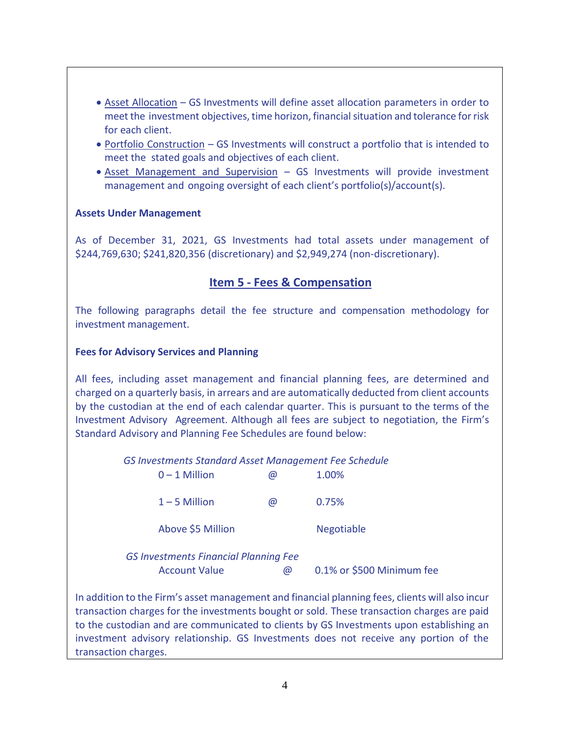- Asset Allocation GS Investments will define asset allocation parameters in order to meet the investment objectives, time horizon, financial situation and tolerance for risk for each client.
- Portfolio Construction GS Investments will construct a portfolio that is intended to meet the stated goals and objectives of each client.
- Asset Management and Supervision GS Investments will provide investment management and ongoing oversight of each client's portfolio(s)/account(s).

### **Assets Under Management**

As of December 31, 2021, GS Investments had total assets under management of \$244,769,630; \$241,820,356 (discretionary) and \$2,949,274 (non-discretionary).

## **Item 5 - Fees & Compensation**

The following paragraphs detail the fee structure and compensation methodology for investment management.

#### **Fees for Advisory Services and Planning**

All fees, including asset management and financial planning fees, are determined and charged on a quarterly basis, in arrears and are automatically deducted from client accounts by the custodian at the end of each calendar quarter. This is pursuant to the terms of the Investment Advisory Agreement. Although all fees are subject to negotiation, the Firm's Standard Advisory and Planning Fee Schedules are found below:

 *GS Investments Standard Asset Management Fee Schedule*

| $0 - 1$ Million   | <b>ω</b> | 1.00%             |
|-------------------|----------|-------------------|
| $1 - 5$ Million   | $\omega$ | 0.75%             |
| Above \$5 Million |          | <b>Negotiable</b> |

|                      | <b>GS Investments Financial Planning Fee</b> |                           |
|----------------------|----------------------------------------------|---------------------------|
| <b>Account Value</b> |                                              | 0.1% or \$500 Minimum fee |

In addition to the Firm's asset management and financial planning fees, clients will also incur transaction charges for the investments bought or sold. These transaction charges are paid to the custodian and are communicated to clients by GS Investments upon establishing an investment advisory relationship. GS Investments does not receive any portion of the transaction charges.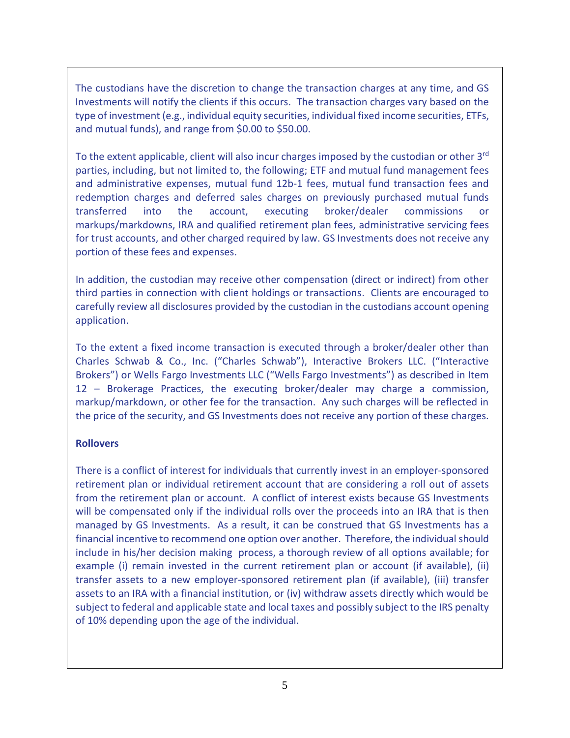The custodians have the discretion to change the transaction charges at any time, and GS Investments will notify the clients if this occurs. The transaction charges vary based on the type of investment (e.g., individual equity securities, individual fixed income securities, ETFs, and mutual funds), and range from \$0.00 to \$50.00.

To the extent applicable, client will also incur charges imposed by the custodian or other 3<sup>rd</sup> parties, including, but not limited to, the following; ETF and mutual fund management fees and administrative expenses, mutual fund 12b-1 fees, mutual fund transaction fees and redemption charges and deferred sales charges on previously purchased mutual funds transferred into the account, executing broker/dealer commissions markups/markdowns, IRA and qualified retirement plan fees, administrative servicing fees for trust accounts, and other charged required by law. GS Investments does not receive any portion of these fees and expenses.

In addition, the custodian may receive other compensation (direct or indirect) from other third parties in connection with client holdings or transactions. Clients are encouraged to carefully review all disclosures provided by the custodian in the custodians account opening application.

To the extent a fixed income transaction is executed through a broker/dealer other than Charles Schwab & Co., Inc. ("Charles Schwab"), Interactive Brokers LLC. ("Interactive Brokers") or Wells Fargo Investments LLC ("Wells Fargo Investments") as described in Item 12 – Brokerage Practices, the executing broker/dealer may charge a commission, markup/markdown, or other fee for the transaction. Any such charges will be reflected in the price of the security, and GS Investments does not receive any portion of these charges.

#### **Rollovers**

There is a conflict of interest for individuals that currently invest in an employer-sponsored retirement plan or individual retirement account that are considering a roll out of assets from the retirement plan or account. A conflict of interest exists because GS Investments will be compensated only if the individual rolls over the proceeds into an IRA that is then managed by GS Investments. As a result, it can be construed that GS Investments has a financial incentive to recommend one option over another. Therefore, the individual should include in his/her decision making process, a thorough review of all options available; for example (i) remain invested in the current retirement plan or account (if available), (ii) transfer assets to a new employer-sponsored retirement plan (if available), (iii) transfer assets to an IRA with a financial institution, or (iv) withdraw assets directly which would be subject to federal and applicable state and local taxes and possibly subject to the IRS penalty of 10% depending upon the age of the individual.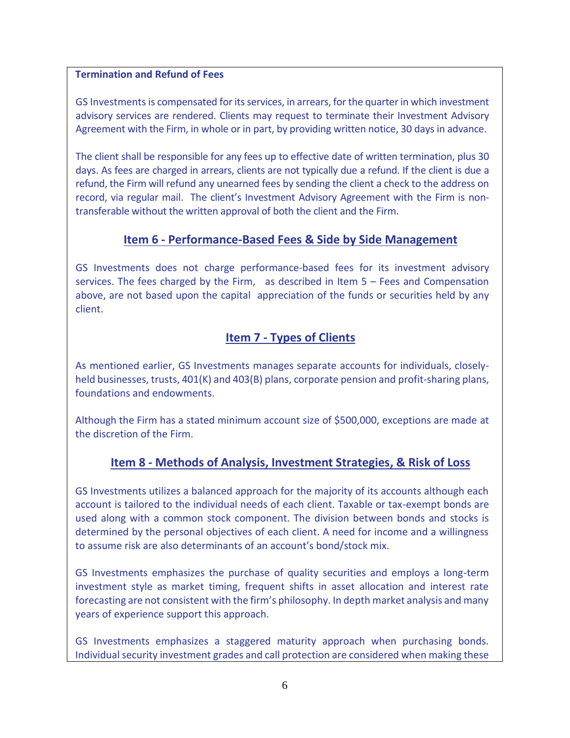#### **Termination and Refund of Fees**

GS Investments is compensated for its services, in arrears, for the quarter in which investment advisory services are rendered. Clients may request to terminate their Investment Advisory Agreement with the Firm, in whole or in part, by providing written notice, 30 days in advance.

The client shall be responsible for any fees up to effective date of written termination, plus 30 days. As fees are charged in arrears, clients are not typically due a refund. If the client is due a refund, the Firm will refund any unearned fees by sending the client a check to the address on record, via regular mail. The client's Investment Advisory Agreement with the Firm is nontransferable without the written approval of both the client and the Firm.

## **Item 6 - Performance-Based Fees & Side by Side Management**

GS Investments does not charge performance-based fees for its investment advisory services. The fees charged by the Firm, as described in Item 5 – Fees and Compensation above, are not based upon the capital appreciation of the funds or securities held by any client.

## **Item 7 - Types of Clients**

As mentioned earlier, GS Investments manages separate accounts for individuals, closelyheld businesses, trusts, 401(K) and 403(B) plans, corporate pension and profit-sharing plans, foundations and endowments.

Although the Firm has a stated minimum account size of \$500,000, exceptions are made at the discretion of the Firm.

## **Item 8 - Methods of Analysis, Investment Strategies, & Risk of Loss**

GS Investments utilizes a balanced approach for the majority of its accounts although each account is tailored to the individual needs of each client. Taxable or tax-exempt bonds are used along with a common stock component. The division between bonds and stocks is determined by the personal objectives of each client. A need for income and a willingness to assume risk are also determinants of an account's bond/stock mix.

GS Investments emphasizes the purchase of quality securities and employs a long-term investment style as market timing, frequent shifts in asset allocation and interest rate forecasting are not consistent with the firm's philosophy. In depth market analysis and many years of experience support this approach.

GS Investments emphasizes a staggered maturity approach when purchasing bonds. Individual security investment grades and call protection are considered when making these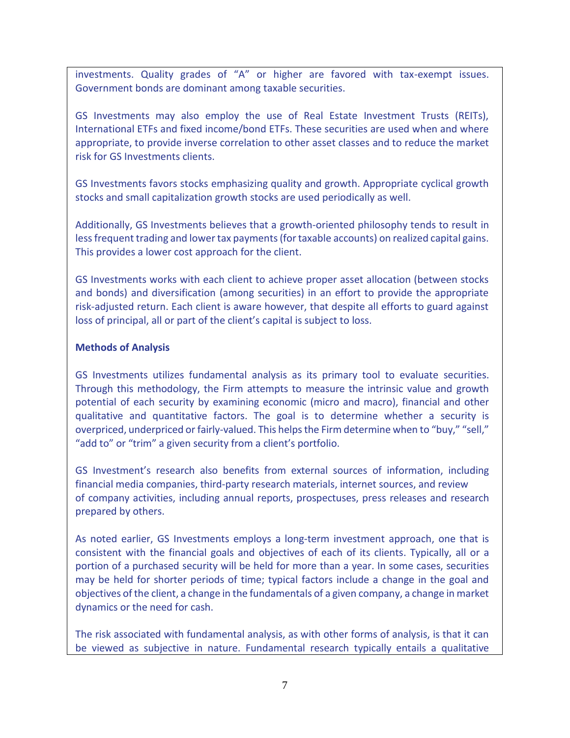investments. Quality grades of "A" or higher are favored with tax-exempt issues. Government bonds are dominant among taxable securities.

GS Investments may also employ the use of Real Estate Investment Trusts (REITs), International ETFs and fixed income/bond ETFs. These securities are used when and where appropriate, to provide inverse correlation to other asset classes and to reduce the market risk for GS Investments clients.

GS Investments favors stocks emphasizing quality and growth. Appropriate cyclical growth stocks and small capitalization growth stocks are used periodically as well.

Additionally, GS Investments believes that a growth-oriented philosophy tends to result in less frequent trading and lower tax payments (for taxable accounts) on realized capital gains. This provides a lower cost approach for the client.

GS Investments works with each client to achieve proper asset allocation (between stocks and bonds) and diversification (among securities) in an effort to provide the appropriate risk-adjusted return. Each client is aware however, that despite all efforts to guard against loss of principal, all or part of the client's capital is subject to loss.

#### **Methods of Analysis**

GS Investments utilizes fundamental analysis as its primary tool to evaluate securities. Through this methodology, the Firm attempts to measure the intrinsic value and growth potential of each security by examining economic (micro and macro), financial and other qualitative and quantitative factors. The goal is to determine whether a security is overpriced, underpriced or fairly-valued. This helps the Firm determine when to "buy," "sell," "add to" or "trim" a given security from a client's portfolio.

GS Investment's research also benefits from external sources of information, including financial media companies, third-party research materials, internet sources, and review of company activities, including annual reports, prospectuses, press releases and research prepared by others.

As noted earlier, GS Investments employs a long-term investment approach, one that is consistent with the financial goals and objectives of each of its clients. Typically, all or a portion of a purchased security will be held for more than a year. In some cases, securities may be held for shorter periods of time; typical factors include a change in the goal and objectives of the client, a change in the fundamentals of a given company, a change in market dynamics or the need for cash.

The risk associated with fundamental analysis, as with other forms of analysis, is that it can be viewed as subjective in nature. Fundamental research typically entails a qualitative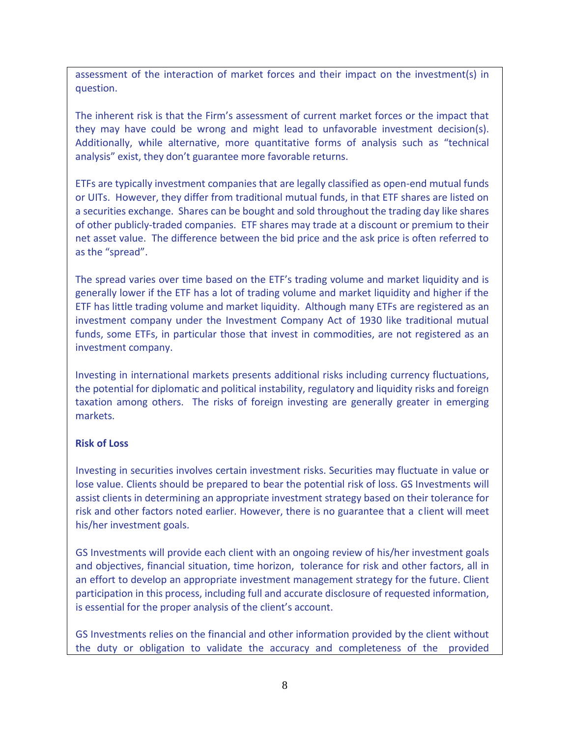assessment of the interaction of market forces and their impact on the investment(s) in question.

The inherent risk is that the Firm's assessment of current market forces or the impact that they may have could be wrong and might lead to unfavorable investment decision(s). Additionally, while alternative, more quantitative forms of analysis such as "technical analysis" exist, they don't guarantee more favorable returns.

ETFs are typically investment companies that are legally classified as open-end mutual funds or UITs. However, they differ from traditional mutual funds, in that ETF shares are listed on a securities exchange. Shares can be bought and sold throughout the trading day like shares of other publicly-traded companies. ETF shares may trade at a discount or premium to their net asset value. The difference between the bid price and the ask price is often referred to as the "spread".

The spread varies over time based on the ETF's trading volume and market liquidity and is generally lower if the ETF has a lot of trading volume and market liquidity and higher if the ETF has little trading volume and market liquidity. Although many ETFs are registered as an investment company under the Investment Company Act of 1930 like traditional mutual funds, some ETFs, in particular those that invest in commodities, are not registered as an investment company.

Investing in international markets presents additional risks including currency fluctuations, the potential for diplomatic and political instability, regulatory and liquidity risks and foreign taxation among others. The risks of foreign investing are generally greater in emerging markets.

#### **Risk of Loss**

Investing in securities involves certain investment risks. Securities may fluctuate in value or lose value. Clients should be prepared to bear the potential risk of loss. GS Investments will assist clients in determining an appropriate investment strategy based on their tolerance for risk and other factors noted earlier. However, there is no guarantee that a client will meet his/her investment goals.

GS Investments will provide each client with an ongoing review of his/her investment goals and objectives, financial situation, time horizon, tolerance for risk and other factors, all in an effort to develop an appropriate investment management strategy for the future. Client participation in this process, including full and accurate disclosure of requested information, is essential for the proper analysis of the client's account.

GS Investments relies on the financial and other information provided by the client without the duty or obligation to validate the accuracy and completeness of the provided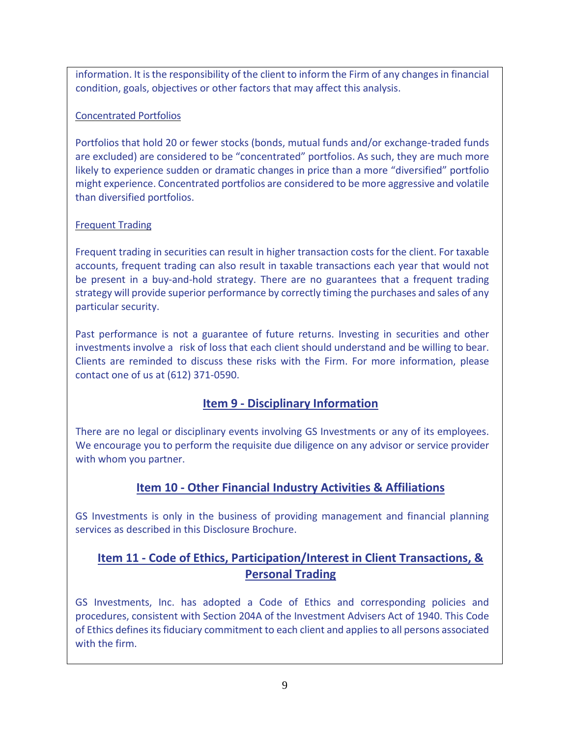information. It isthe responsibility of the client to inform the Firm of any changes in financial condition, goals, objectives or other factors that may affect this analysis.

## Concentrated Portfolios

Portfolios that hold 20 or fewer stocks (bonds, mutual funds and/or exchange-traded funds are excluded) are considered to be "concentrated" portfolios. As such, they are much more likely to experience sudden or dramatic changes in price than a more "diversified" portfolio might experience. Concentrated portfolios are considered to be more aggressive and volatile than diversified portfolios.

## Frequent Trading

Frequent trading in securities can result in higher transaction costs for the client. For taxable accounts, frequent trading can also result in taxable transactions each year that would not be present in a buy-and-hold strategy. There are no guarantees that a frequent trading strategy will provide superior performance by correctly timing the purchases and sales of any particular security.

Past performance is not a guarantee of future returns. Investing in securities and other investments involve a risk of loss that each client should understand and be willing to bear. Clients are reminded to discuss these risks with the Firm. For more information, please contact one of us at (612) 371-0590.

# **Item 9 - Disciplinary Information**

There are no legal or disciplinary events involving GS Investments or any of its employees. We encourage you to perform the requisite due diligence on any advisor or service provider with whom you partner.

# **Item 10 - Other Financial Industry Activities & Affiliations**

GS Investments is only in the business of providing management and financial planning services as described in this Disclosure Brochure.

# **Item 11 - Code of Ethics, Participation/Interest in Client Transactions, & Personal Trading**

GS Investments, Inc. has adopted a Code of Ethics and corresponding policies and procedures, consistent with Section 204A of the Investment Advisers Act of 1940. This Code of Ethics defines itsfiduciary commitment to each client and appliesto all persons associated with the firm.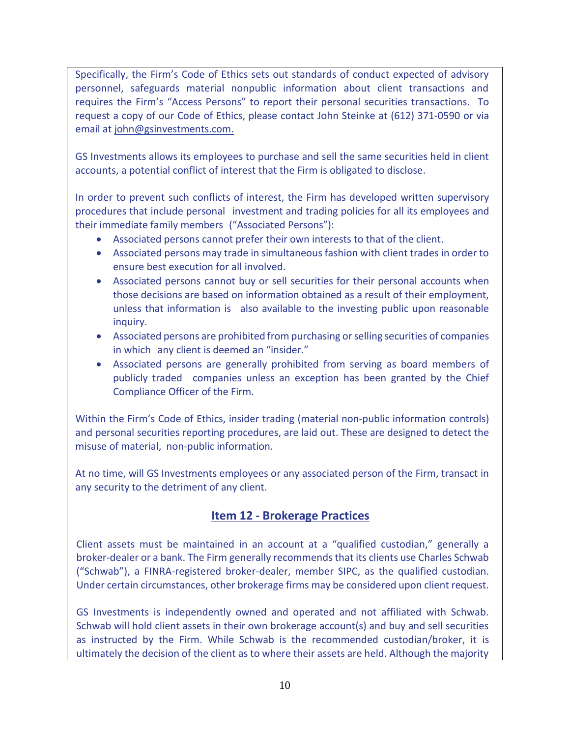Specifically, the Firm's Code of Ethics sets out standards of conduct expected of advisory personnel, safeguards material nonpublic information about client transactions and requires the Firm's "Access Persons" to report their personal securities transactions. To request a copy of our Code of Ethics, please contact John Steinke at (612) 371-0590 or via email a[t john@gsinvestments.com.](mailto:john@gsinvestments.com.)

GS Investments allows its employees to purchase and sell the same securities held in client accounts, a potential conflict of interest that the Firm is obligated to disclose.

In order to prevent such conflicts of interest, the Firm has developed written supervisory procedures that include personal investment and trading policies for all its employees and their immediate family members ("Associated Persons"):

- Associated persons cannot prefer their own interests to that of the client.
- Associated persons may trade in simultaneous fashion with client trades in order to ensure best execution for all involved.
- Associated persons cannot buy or sell securities for their personal accounts when those decisions are based on information obtained as a result of their employment, unless that information is also available to the investing public upon reasonable inquiry.
- Associated persons are prohibited from purchasing or selling securities of companies in which any client is deemed an "insider."
- Associated persons are generally prohibited from serving as board members of publicly traded companies unless an exception has been granted by the Chief Compliance Officer of the Firm.

Within the Firm's Code of Ethics, insider trading (material non-public information controls) and personal securities reporting procedures, are laid out. These are designed to detect the misuse of material, non-public information.

At no time, will GS Investments employees or any associated person of the Firm, transact in any security to the detriment of any client.

# **Item 12 - Brokerage Practices**

Client assets must be maintained in an account at a "qualified custodian," generally a broker-dealer or a bank. The Firm generally recommends that its clients use Charles Schwab ("Schwab"), a FINRA-registered broker-dealer, member SIPC, as the qualified custodian. Under certain circumstances, other brokerage firms may be considered upon client request.

GS Investments is independently owned and operated and not affiliated with Schwab. Schwab will hold client assets in their own brokerage account(s) and buy and sell securities as instructed by the Firm. While Schwab is the recommended custodian/broker, it is ultimately the decision of the client as to where their assets are held. Although the majority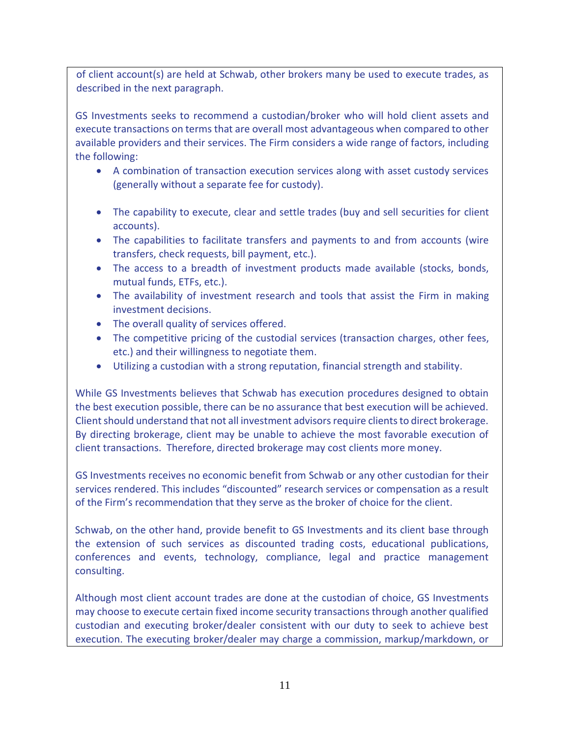of client account(s) are held at Schwab, other brokers many be used to execute trades, as described in the next paragraph.

GS Investments seeks to recommend a custodian/broker who will hold client assets and execute transactions on terms that are overall most advantageous when compared to other available providers and their services. The Firm considers a wide range of factors, including the following:

- A combination of transaction execution services along with asset custody services (generally without a separate fee for custody).
- The capability to execute, clear and settle trades (buy and sell securities for client accounts).
- The capabilities to facilitate transfers and payments to and from accounts (wire transfers, check requests, bill payment, etc.).
- The access to a breadth of investment products made available (stocks, bonds, mutual funds, ETFs, etc.).
- The availability of investment research and tools that assist the Firm in making investment decisions.
- The overall quality of services offered.
- The competitive pricing of the custodial services (transaction charges, other fees, etc.) and their willingness to negotiate them.
- Utilizing a custodian with a strong reputation, financial strength and stability.

While GS Investments believes that Schwab has execution procedures designed to obtain the best execution possible, there can be no assurance that best execution will be achieved. Client should understand that not all investment advisors require clients to direct brokerage. By directing brokerage, client may be unable to achieve the most favorable execution of client transactions. Therefore, directed brokerage may cost clients more money.

GS Investments receives no economic benefit from Schwab or any other custodian for their services rendered. This includes "discounted" research services or compensation as a result of the Firm's recommendation that they serve as the broker of choice for the client.

Schwab, on the other hand, provide benefit to GS Investments and its client base through the extension of such services as discounted trading costs, educational publications, conferences and events, technology, compliance, legal and practice management consulting.

Although most client account trades are done at the custodian of choice, GS Investments may choose to execute certain fixed income security transactions through another qualified custodian and executing broker/dealer consistent with our duty to seek to achieve best execution. The executing broker/dealer may charge a commission, markup/markdown, or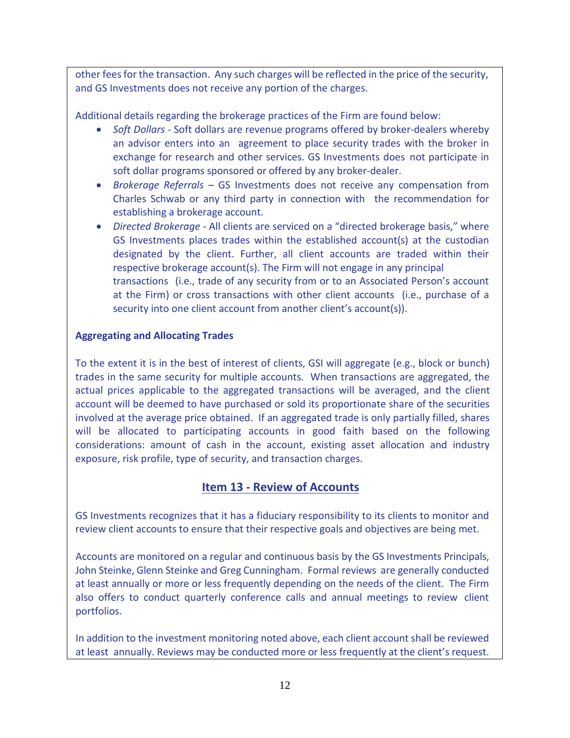other fees for the transaction. Any such charges will be reflected in the price of the security, and GS Investments does not receive any portion of the charges.

Additional details regarding the brokerage practices of the Firm are found below:

- *Soft Dollars -* Soft dollars are revenue programs offered by broker-dealers whereby an advisor enters into an agreement to place security trades with the broker in exchange for research and other services. GS Investments does not participate in soft dollar programs sponsored or offered by any broker-dealer.
- *Brokerage Referrals –* GS Investments does not receive any compensation from Charles Schwab or any third party in connection with the recommendation for establishing a brokerage account.
- *Directed Brokerage -* All clients are serviced on a "directed brokerage basis," where GS Investments places trades within the established account(s) at the custodian designated by the client. Further, all client accounts are traded within their respective brokerage account(s). The Firm will not engage in any principal transactions (i.e., trade of any security from or to an Associated Person's account at the Firm) or cross transactions with other client accounts (i.e., purchase of a security into one client account from another client's account(s)).

### **Aggregating and Allocating Trades**

To the extent it is in the best of interest of clients, GSI will aggregate (e.g., block or bunch) trades in the same security for multiple accounts. When transactions are aggregated, the actual prices applicable to the aggregated transactions will be averaged, and the client account will be deemed to have purchased or sold its proportionate share of the securities involved at the average price obtained. If an aggregated trade is only partially filled, shares will be allocated to participating accounts in good faith based on the following considerations: amount of cash in the account, existing asset allocation and industry exposure, risk profile, type of security, and transaction charges.

# **Item 13 - Review of Accounts**

GS Investments recognizes that it has a fiduciary responsibility to its clients to monitor and review client accounts to ensure that their respective goals and objectives are being met.

Accounts are monitored on a regular and continuous basis by the GS Investments Principals, John Steinke, Glenn Steinke and Greg Cunningham. Formal reviews are generally conducted at least annually or more or less frequently depending on the needs of the client. The Firm also offers to conduct quarterly conference calls and annual meetings to review client portfolios.

In addition to the investment monitoring noted above, each client account shall be reviewed at least annually. Reviews may be conducted more or less frequently at the client's request.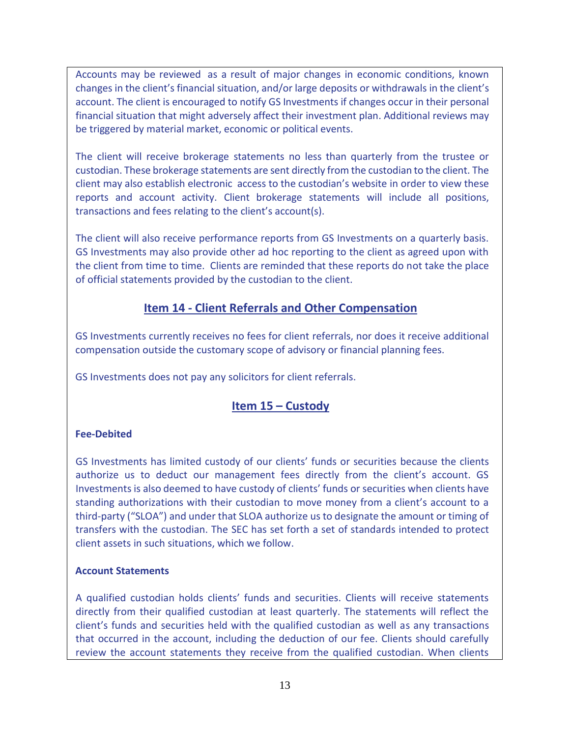Accounts may be reviewed as a result of major changes in economic conditions, known changes in the client's financial situation, and/or large deposits or withdrawals in the client's account. The client is encouraged to notify GS Investments if changes occur in their personal financial situation that might adversely affect their investment plan. Additional reviews may be triggered by material market, economic or political events.

The client will receive brokerage statements no less than quarterly from the trustee or custodian. These brokerage statements are sent directly from the custodian to the client. The client may also establish electronic access to the custodian's website in order to view these reports and account activity. Client brokerage statements will include all positions, transactions and fees relating to the client's account(s).

The client will also receive performance reports from GS Investments on a quarterly basis. GS Investments may also provide other ad hoc reporting to the client as agreed upon with the client from time to time. Clients are reminded that these reports do not take the place of official statements provided by the custodian to the client.

## **Item 14 - Client Referrals and Other Compensation**

GS Investments currently receives no fees for client referrals, nor does it receive additional compensation outside the customary scope of advisory or financial planning fees.

GS Investments does not pay any solicitors for client referrals.

# **Item 15 – Custody**

## **Fee-Debited**

GS Investments has limited custody of our clients' funds or securities because the clients authorize us to deduct our management fees directly from the client's account. GS Investments is also deemed to have custody of clients' funds or securities when clients have standing authorizations with their custodian to move money from a client's account to a third-party ("SLOA") and under that SLOA authorize us to designate the amount or timing of transfers with the custodian. The SEC has set forth a set of standards intended to protect client assets in such situations, which we follow.

## **Account Statements**

A qualified custodian holds clients' funds and securities. Clients will receive statements directly from their qualified custodian at least quarterly. The statements will reflect the client's funds and securities held with the qualified custodian as well as any transactions that occurred in the account, including the deduction of our fee. Clients should carefully review the account statements they receive from the qualified custodian. When clients